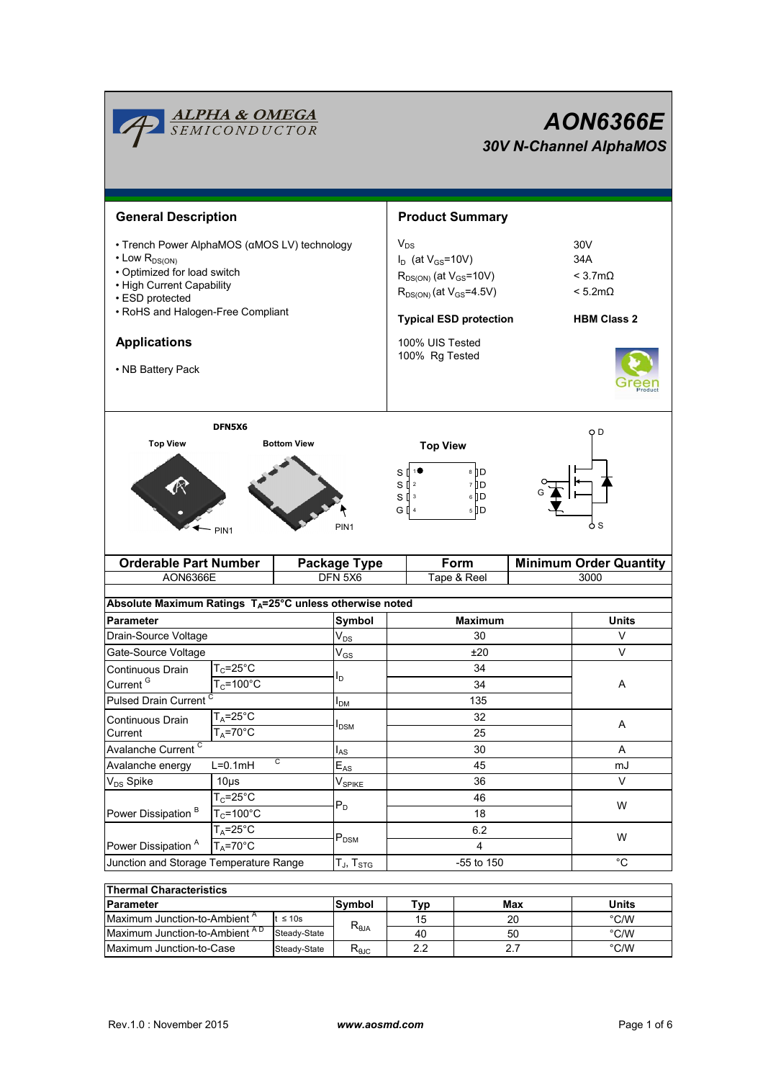| <u><b>ALPHA &amp; OMEGA</b><br/>SEMICONDUCTOR</u>                                                                                                                                                                                        |                                                         | <b>AON6366E</b><br><b>30V N-Channel AlphaMOS</b> |                     |                                                                                                                                                                                     |                                         |                               |                                                                                 |  |
|------------------------------------------------------------------------------------------------------------------------------------------------------------------------------------------------------------------------------------------|---------------------------------------------------------|--------------------------------------------------|---------------------|-------------------------------------------------------------------------------------------------------------------------------------------------------------------------------------|-----------------------------------------|-------------------------------|---------------------------------------------------------------------------------|--|
| <b>General Description</b>                                                                                                                                                                                                               |                                                         |                                                  |                     | <b>Product Summary</b>                                                                                                                                                              |                                         |                               |                                                                                 |  |
| • Trench Power AlphaMOS (αMOS LV) technology<br>$\cdot$ Low $R_{DS(ON)}$<br>• Optimized for load switch<br>• High Current Capability<br>• ESD protected<br>• RoHS and Halogen-Free Compliant<br><b>Applications</b><br>• NB Battery Pack |                                                         |                                                  |                     | $V_{DS}$<br>$I_D$ (at $V_{GS}$ =10V)<br>$R_{DS(ON)}$ (at $V_{GS}$ =10V)<br>$R_{DS(ON)}$ (at $V_{GS} = 4.5V$ )<br><b>Typical ESD protection</b><br>100% UIS Tested<br>100% Rg Tested |                                         |                               | 30V<br>34A<br>$<$ 3.7m $\Omega$<br>$< 5.2 \text{m}\Omega$<br><b>HBM Class 2</b> |  |
| DFN5X6<br><b>Top View</b><br><b>Bottom View</b><br>PIN <sub>1</sub>                                                                                                                                                                      |                                                         |                                                  | PIN <sub>1</sub>    | <b>Top View</b><br>10<br>sП<br>$S \mathbb{I}$ 2<br>sП<br>$\mathbf{3}$<br>G $\Box$ 4                                                                                                 | 8 ∏ D<br>7 D<br>$6$ $\Box$ $D$<br>5   D |                               | O D<br>o s                                                                      |  |
| <b>Orderable Part Number</b>                                                                                                                                                                                                             |                                                         |                                                  | <b>Package Type</b> |                                                                                                                                                                                     | Form                                    | <b>Minimum Order Quantity</b> |                                                                                 |  |
| AON6366E                                                                                                                                                                                                                                 |                                                         |                                                  | DFN 5X6             |                                                                                                                                                                                     | Tape & Reel                             |                               | 3000                                                                            |  |
| Absolute Maximum Ratings $T_A = 25^\circ \text{C}$ unless otherwise noted                                                                                                                                                                |                                                         |                                                  |                     |                                                                                                                                                                                     |                                         |                               |                                                                                 |  |
| <b>Parameter</b>                                                                                                                                                                                                                         |                                                         |                                                  | Symbol              | <b>Maximum</b>                                                                                                                                                                      |                                         | Units                         |                                                                                 |  |
|                                                                                                                                                                                                                                          | Drain-Source Voltage                                    |                                                  | $V_{DS}$            |                                                                                                                                                                                     | 30                                      |                               | V                                                                               |  |
| Gate-Source Voltage<br>Continuous Drain                                                                                                                                                                                                  | $T_c = 25^\circ C$                                      |                                                  | $V_{GS}$            | ±20<br>34                                                                                                                                                                           |                                         |                               | V                                                                               |  |
| Current <sup>G</sup>                                                                                                                                                                                                                     | $T_c = 100^{\circ}$ C                                   |                                                  | סי                  | 34                                                                                                                                                                                  |                                         |                               | A                                                                               |  |
| Pulsed Drain Current <sup>C</sup>                                                                                                                                                                                                        |                                                         |                                                  | $I_{DM}$            | 135                                                                                                                                                                                 |                                         |                               |                                                                                 |  |
| Continuous Drain                                                                                                                                                                                                                         | $T_A = 25^{\circ}C$                                     |                                                  |                     |                                                                                                                                                                                     | 32                                      |                               |                                                                                 |  |
| Current                                                                                                                                                                                                                                  | $T_A = 70$ °C                                           |                                                  | $I_{DSM}$           | 25                                                                                                                                                                                  |                                         |                               | A                                                                               |  |
| Avalanche Current <sup>C</sup>                                                                                                                                                                                                           |                                                         | $I_{AS}$                                         | 30                  |                                                                                                                                                                                     |                                         | A                             |                                                                                 |  |
| C<br>Avalanche energy<br>$L=0.1mH$                                                                                                                                                                                                       |                                                         | $E_{AS}$                                         | 45                  |                                                                                                                                                                                     |                                         | mJ                            |                                                                                 |  |
| V <sub>DS</sub> Spike<br>$10\mus$                                                                                                                                                                                                        |                                                         |                                                  | $V_{SPIKE}$<br>36   |                                                                                                                                                                                     |                                         | V                             |                                                                                 |  |
|                                                                                                                                                                                                                                          | $T_c = 25$ °C<br>$T_c = 100^{\circ}$ C<br>$T_A = 25$ °C |                                                  | $P_D$               | 46<br>18<br>6.2                                                                                                                                                                     |                                         | W                             |                                                                                 |  |
| Power Dissipation <sup>B</sup>                                                                                                                                                                                                           |                                                         |                                                  |                     |                                                                                                                                                                                     |                                         |                               |                                                                                 |  |
| $T_A = 70^\circ C$<br>Power Dissipation <sup>A</sup>                                                                                                                                                                                     |                                                         | $P_{DSM}$                                        |                     |                                                                                                                                                                                     | W<br>4                                  |                               |                                                                                 |  |
| Junction and Storage Temperature Range                                                                                                                                                                                                   |                                                         | $T_{J}$ , $T_{STG}$                              | -55 to 150          |                                                                                                                                                                                     |                                         | $^{\circ}C$                   |                                                                                 |  |
|                                                                                                                                                                                                                                          |                                                         |                                                  |                     |                                                                                                                                                                                     |                                         |                               |                                                                                 |  |
| <b>Thermal Characteristics</b>                                                                                                                                                                                                           |                                                         |                                                  | <b>Symbol</b>       | Typ                                                                                                                                                                                 |                                         | Max                           | <b>Units</b>                                                                    |  |
| Parameter                                                                                                                                                                                                                                |                                                         |                                                  |                     |                                                                                                                                                                                     |                                         |                               |                                                                                 |  |

| <b>Parameter</b>                         | lSvmbol      | Typ                               | Max | Units |               |
|------------------------------------------|--------------|-----------------------------------|-----|-------|---------------|
| Maximum Junction-to-Ambient <sup>"</sup> | $\leq 10$ s  |                                   |     | 20    | $\degree$ C/W |
| Maximum Junction-to-Ambient AD           | Steady-State | $A\mathsf{L}\theta^{\mathcal{F}}$ | 40  | 50    | $\degree$ C/W |
| Maximum Junction-to-Case                 | Steady-State | $\mathcal{L}_{\theta}$ JC         | ה ה |       | $\degree$ C/W |

Г

<u> Tanzania (h. 1878).</u>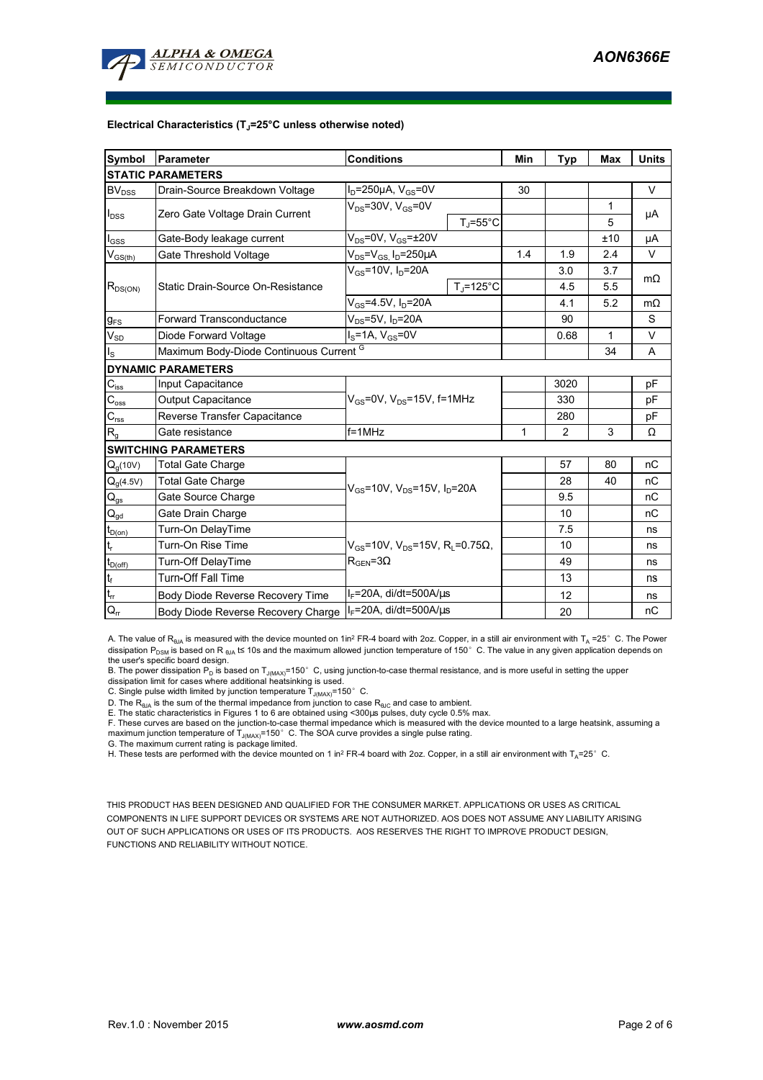

#### **Electrical Characteristics (TJ=25°C unless otherwise noted)**

| Symbol                                 | <b>Conditions</b><br>Parameter          |                                                             |                   | <b>Typ</b>     | <b>Max</b>   | <b>Units</b> |  |  |
|----------------------------------------|-----------------------------------------|-------------------------------------------------------------|-------------------|----------------|--------------|--------------|--|--|
| <b>STATIC PARAMETERS</b>               |                                         |                                                             |                   |                |              |              |  |  |
| $BV_{DSS}$                             | Drain-Source Breakdown Voltage          | $I_D = 250 \mu A$ , $V_{GS} = 0V$                           |                   |                |              | V            |  |  |
| $I_{DSS}$                              | Zero Gate Voltage Drain Current         | $V_{DS}$ =30V, $V_{GS}$ =0V                                 |                   |                | 1            | μA           |  |  |
|                                        |                                         |                                                             | $T_{\rm J}$ =55°C |                | 5            |              |  |  |
| $I_{GSS}$                              | Gate-Body leakage current               | $V_{DS}$ =0V, $V_{GS}$ = $\pm$ 20V                          |                   |                | ±10          | μA           |  |  |
| $V_{GS(th)}$                           | Gate Threshold Voltage                  | $V_{DS} = V_{GS} I_D = 250 \mu A$                           | 1.4               | 1.9            | 2.4          | v            |  |  |
| $R_{DS(ON)}$                           |                                         | $V_{GS}$ =10V, $I_{D}$ =20A                                 |                   | 3.0            | 3.7          | $m\Omega$    |  |  |
|                                        | Static Drain-Source On-Resistance       |                                                             | $T_J = 125$ °C    | 4.5            | 5.5          |              |  |  |
|                                        |                                         | $V_{GS} = 4.5V, I_D = 20A$                                  |                   | 4.1            | 5.2          | $m\Omega$    |  |  |
| $g_{FS}$                               | <b>Forward Transconductance</b>         | $V_{DS}$ =5V, $I_D$ =20A                                    |                   | 90             |              | S            |  |  |
| $V_{SD}$                               | Diode Forward Voltage                   | $I_S = 1A$ , $V_{GS} = 0V$                                  |                   | 0.68           | $\mathbf{1}$ | V            |  |  |
| $I_{\rm S}$                            | Maximum Body-Diode Continuous Current G |                                                             |                   | 34             | A            |              |  |  |
|                                        | <b>DYNAMIC PARAMETERS</b>               |                                                             |                   |                |              |              |  |  |
| $C_{\text{iss}}$                       | Input Capacitance                       |                                                             |                   | 3020           |              | pF           |  |  |
| $C_{\rm oss}$                          | Output Capacitance                      | $V_{GS}$ =0V, $V_{DS}$ =15V, f=1MHz                         |                   | 330            |              | pF           |  |  |
| $\mathbf{C}_{\text{rss}}$              | Reverse Transfer Capacitance            |                                                             |                   | 280            |              | pF           |  |  |
| R <sub>g</sub>                         | Gate resistance                         | $f = 1$ MHz                                                 |                   | $\overline{2}$ | 3            | Ω            |  |  |
|                                        | <b>SWITCHING PARAMETERS</b>             |                                                             |                   |                |              |              |  |  |
| $Q_q(10V)$                             | <b>Total Gate Charge</b>                |                                                             |                   | 57             | 80           | nC           |  |  |
| $Q_g(4.5V)$                            | <b>Total Gate Charge</b>                | $V_{GS}$ =10V, $V_{DS}$ =15V, $I_D$ =20A                    |                   | 28             | 40           | nC           |  |  |
| $Q_{gs}$                               | Gate Source Charge                      |                                                             |                   | 9.5            |              | nC           |  |  |
| $\mathsf{Q}_{\underline{\mathsf{gd}}}$ | Gate Drain Charge                       |                                                             |                   | 10             |              | nC           |  |  |
| $t_{D(0n)}$                            | Turn-On DelayTime                       |                                                             |                   | 7.5            |              | ns           |  |  |
| t,                                     | Turn-On Rise Time                       | $V_{GS}$ =10V, V <sub>DS</sub> =15V, R <sub>i</sub> =0.75Ω, |                   | 10             |              | ns           |  |  |
| $t_{D(off)}$                           | Turn-Off DelayTime                      | $R_{\text{GEN}} = 3\Omega$                                  |                   | 49             |              | ns           |  |  |
| $\mathsf{t}_{\mathsf{f}}$              | <b>Turn-Off Fall Time</b>               |                                                             |                   | 13             |              | ns           |  |  |
| $\mathsf{t}_{\mathsf{rr}}$             | Body Diode Reverse Recovery Time        | $I_F = 20A$ , di/dt=500A/us                                 |                   | 12             |              | ns           |  |  |
| $Q_{rr}$                               | Body Diode Reverse Recovery Charge      | I <sub>F</sub> =20A, di/dt=500A/us                          |                   | 20             |              | nC           |  |  |

A. The value of R<sub>θJA</sub> is measured with the device mounted on 1in<sup>2</sup> FR-4 board with 2oz. Copper, in a still air environment with T<sub>A</sub> =25° C. The Power dissipation P<sub>DSM</sub> is based on R <sub>θJA</sub> t≤ 10s and the maximum allowed junction temperature of 150°C. The value in any given application depends on

the user's specific board design.<br>B. The power dissipation P<sub>D</sub> is based on T<sub>J(MAX)</sub>=150° C, using junction-to-case thermal resistance, and is more useful in setting the upper<br>dissipation limit for cases where additional

D. The  $R_{\theta J\Delta}$  is the sum of the thermal impedance from junction to case  $R_{\theta JC}$  and case to ambient.

E. The static characteristics in Figures 1 to 6 are obtained using <300us pulses, duty cycle 0.5% max.

F. These curves are based on the junction-to-case thermal impedance which is measured with the device mounted to a large heatsink, assuming a maximum junction temperature of  $T_{J(MAX)}$ =150°C. The SOA curve provides a single pulse rating.

G. The maximum current rating is package limited.

H. These tests are performed with the device mounted on 1 in<sup>2</sup> FR-4 board with 2oz. Copper, in a still air environment with T<sub>A</sub>=25°C.

THIS PRODUCT HAS BEEN DESIGNED AND QUALIFIED FOR THE CONSUMER MARKET. APPLICATIONS OR USES AS CRITICAL COMPONENTS IN LIFE SUPPORT DEVICES OR SYSTEMS ARE NOT AUTHORIZED. AOS DOES NOT ASSUME ANY LIABILITY ARISING OUT OF SUCH APPLICATIONS OR USES OF ITS PRODUCTS. AOS RESERVES THE RIGHT TO IMPROVE PRODUCT DESIGN, FUNCTIONS AND RELIABILITY WITHOUT NOTICE.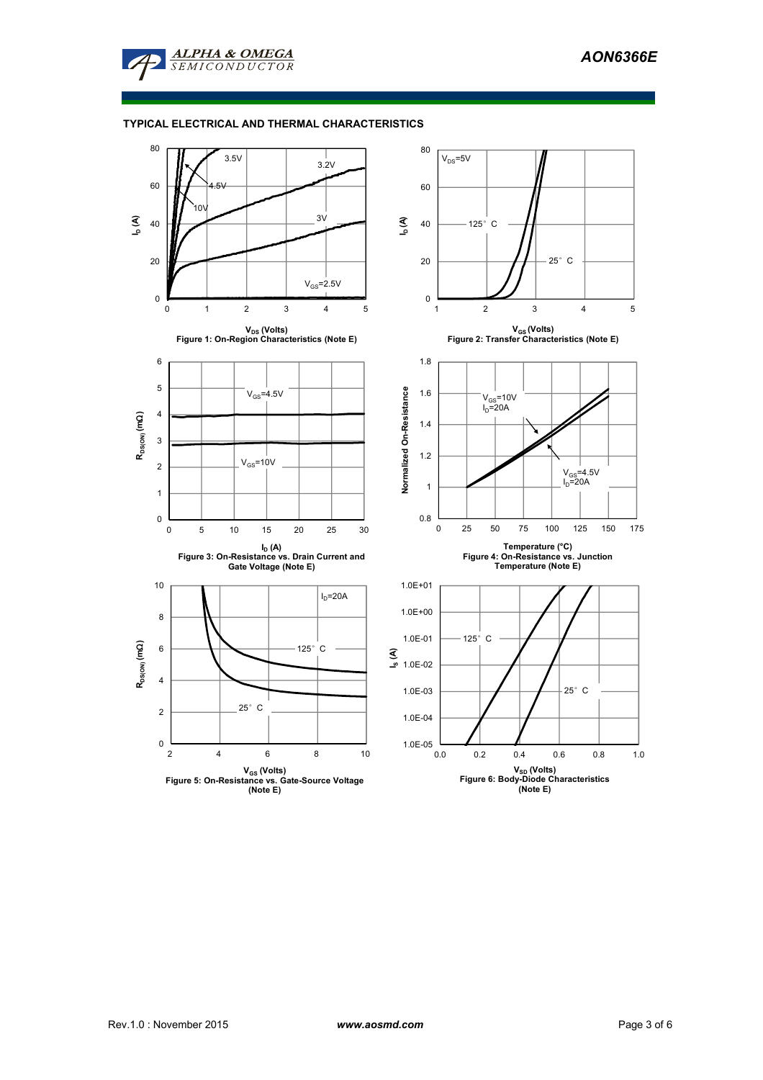

## **TYPICAL ELECTRICAL AND THERMAL CHARACTERISTICS**

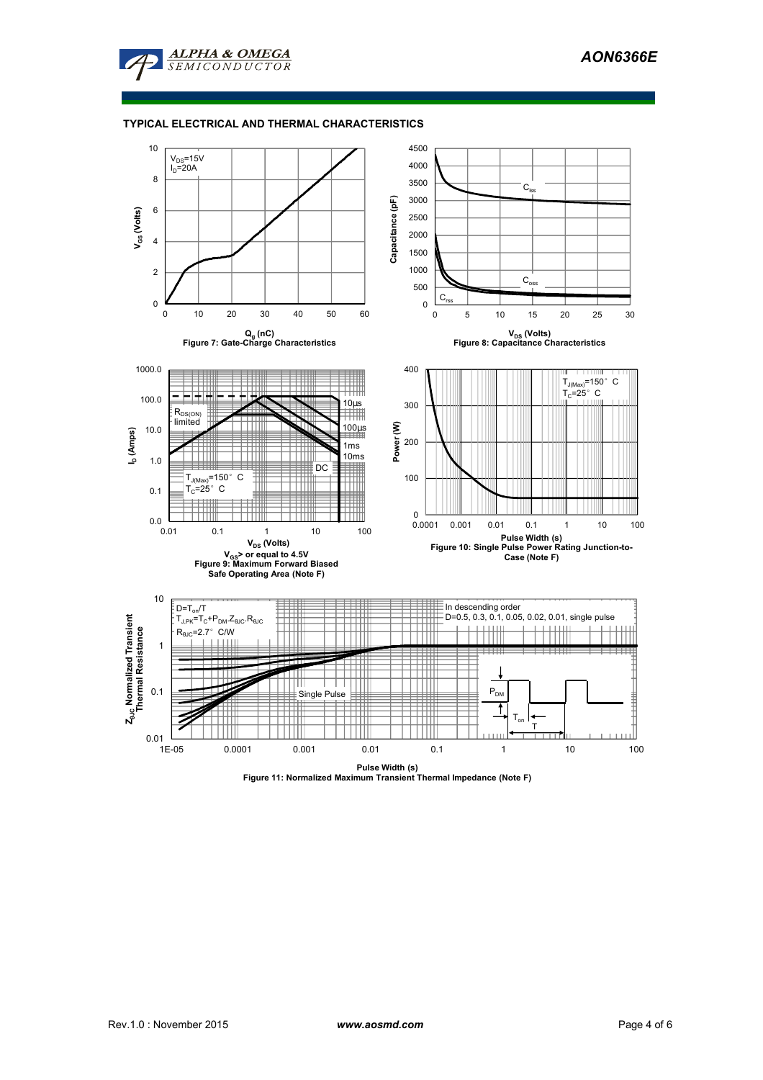

#### **TYPICAL ELECTRICAL AND THERMAL CHARACTERISTICS**

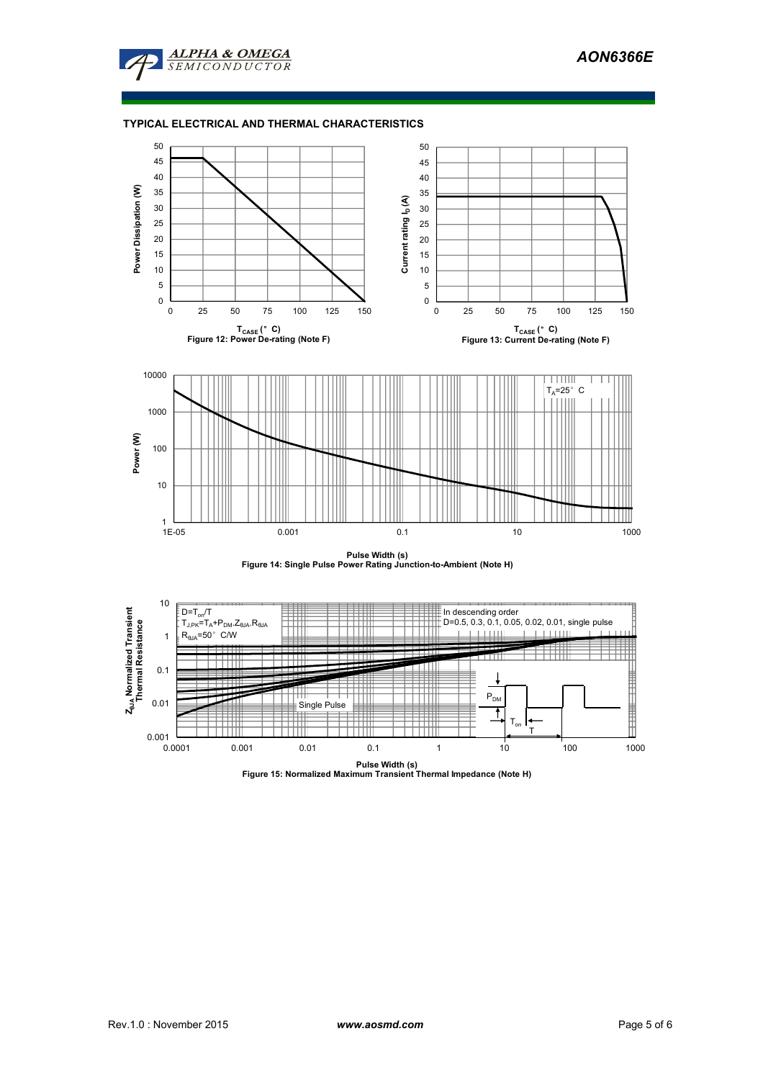

### **TYPICAL ELECTRICAL AND THERMAL CHARACTERISTICS**